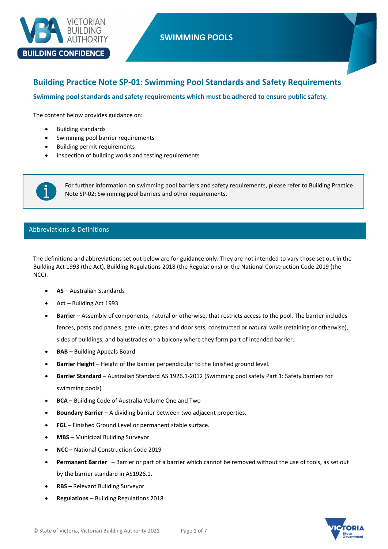

# **SWIMMING POOLS**

# **Building Practice Note SP-01: Swimming Pool Standards and Safety Requirements**

**Swimming pool standards and safety requirements which must be adhered to ensure public safety.**

The content below provides guidance on:

- Building standards
- Swimming pool barrier requirements
- Building permit requirements
- Inspection of building works and testing requirements



## Abbreviations & Definitions

The definitions and abbreviations set out below are for guidance only. They are not intended to vary those set out in the Building Act 1993 (the Act), Building Regulations 2018 (the Regulations) or the National Construction Code 2019 (the NCC).

- **AS** Australian Standards
- **Act** Building Act 1993
- **Barrier** Assembly of components, natural or otherwise, that restricts access to the pool. The barrier includes fences, posts and panels, gate units, gates and door sets, constructed or natural walls (retaining or otherwise), sides of buildings, and balustrades on a balcony where they form part of intended barrier.
- **BAB** Building Appeals Board
- **Barrier Height**  Height of the barrier perpendicular to the finished ground level.
- **Barrier Standard**  Australian Standard AS 1926.1-2012 (Swimming pool safety Part 1: Safety barriers for swimming pools)
- **BCA** Building Code of Australia Volume One and Two
- **Boundary Barrier**  A dividing barrier between two adjacent properties.
- **FGL** Finished Ground Level or permanent stable surface.
- **MBS** Municipal Building Surveyor
- **NCC** National Construction Code 2019
- **Permanent Barrier**  Barrier or part of a barrier which cannot be removed without the use of tools, as set out by the barrier standard in AS1926.1.
- **RBS –** Relevant Building Surveyor
- **Regulations** Building Regulations 2018

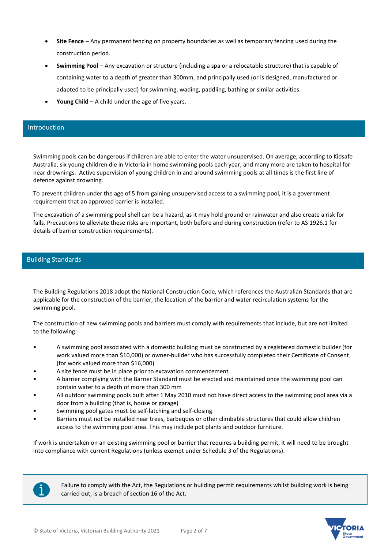- **Site Fence** Any permanent fencing on property boundaries as well as temporary fencing used during the construction period.
- **Swimming Pool** Any excavation or structure (including a spa or a relocatable structure) that is capable of containing water to a depth of greater than 300mm, and principally used (or is designed, manufactured or adapted to be principally used) for swimming, wading, paddling, bathing or similar activities.
- **Young Child** A child under the age of five years.

## Introduction

Swimming pools can be dangerous if children are able to enter the water unsupervised. On average, according to Kidsafe Australia, six young children die in Victoria in home swimming pools each year, and many more are taken to hospital for near drownings. Active supervision of young children in and around swimming pools at all times is the first line of defence against drowning.

To prevent children under the age of 5 from gaining unsupervised access to a swimming pool, it is a government requirement that an approved barrier is installed.

The excavation of a swimming pool shell can be a hazard, as it may hold ground or rainwater and also create a risk for falls. Precautions to alleviate these risks are important, both before and during construction (refer to AS 1926.1 for details of barrier construction requirements).

## Building Standards

The Building Regulations 2018 adopt the National Construction Code, which references the Australian Standards that are applicable for the construction of the barrier, the location of the barrier and water recirculation systems for the swimming pool.

The construction of new swimming pools and barriers must comply with requirements that include, but are not limited to the following:

- A swimming pool associated with a domestic building must be constructed by a registered domestic builder (for work valued more than \$10,000) or owner-builder who has successfully completed their Certificate of Consent (for work valued more than \$16,000)
- A site fence must be in place prior to excavation commencement
- A barrier complying with the Barrier Standard must be erected and maintained once the swimming pool can contain water to a depth of more than 300 mm
- All outdoor swimming pools built after 1 May 2010 must not have direct access to the swimming pool area via a door from a building (that is, house or garage)
- Swimming pool gates must be self-latching and self-closing
- Barriers must not be installed near trees, barbeques or other climbable structures that could allow children access to the swimming pool area. This may include pot plants and outdoor furniture.

If work is undertaken on an existing swimming pool or barrier that requires a building permit, it will need to be brought into compliance with current Regulations (unless exempt under Schedule 3 of the Regulations).



Failure to comply with the Act, the Regulations or building permit requirements whilst building work is being carried out, is a breach of section 16 of the Act.

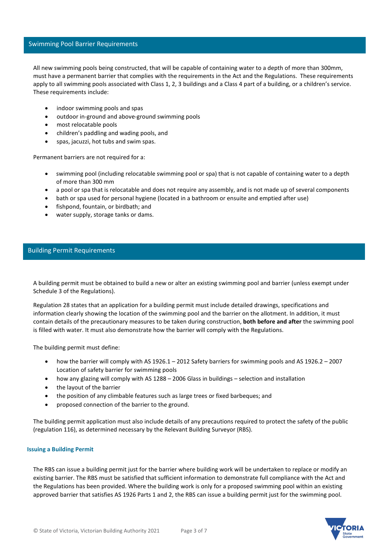## Swimming Pool Barrier Requirements

All new swimming pools being constructed, that will be capable of containing water to a depth of more than 300mm, must have a permanent barrier that complies with the requirements in the Act and the Regulations. These requirements apply to all swimming pools associated with Class 1, 2, 3 buildings and a Class 4 part of a building, or a children's service. These requirements include:

- indoor swimming pools and spas
- outdoor in-ground and above-ground swimming pools
- most relocatable pools
- children's paddling and wading pools, and
- spas, jacuzzi, hot tubs and swim spas.

Permanent barriers are not required for a:

- swimming pool (including relocatable swimming pool or spa) that is not capable of containing water to a depth of more than 300 mm
- a pool or spa that is relocatable and does not require any assembly, and is not made up of several components
- bath or spa used for personal hygiene (located in a bathroom or ensuite and emptied after use)
- fishpond, fountain, or birdbath; and
- water supply, storage tanks or dams.

## Building Permit Requirements

A building permit must be obtained to build a new or alter an existing swimming pool and barrier (unless exempt under Schedule 3 of the Regulations).

Regulation 28 states that an application for a building permit must include detailed drawings, specifications and information clearly showing the location of the swimming pool and the barrier on the allotment. In addition, it must contain details of the precautionary measures to be taken during construction, **both before and after** the swimming pool is filled with water. It must also demonstrate how the barrier will comply with the Regulations.

The building permit must define:

- how the barrier will comply with AS 1926.1 2012 Safety barriers for swimming pools and AS 1926.2 2007 Location of safety barrier for swimming pools
- how any glazing will comply with AS 1288 2006 Glass in buildings selection and installation
- the layout of the barrier
- the position of any climbable features such as large trees or fixed barbeques; and
- proposed connection of the barrier to the ground.

The building permit application must also include details of any precautions required to protect the safety of the public (regulation 116), as determined necessary by the Relevant Building Surveyor (RBS).

#### **Issuing a Building Permit**

The RBS can issue a building permit just for the barrier where building work will be undertaken to replace or modify an existing barrier. The RBS must be satisfied that sufficient information to demonstrate full compliance with the Act and the Regulations has been provided. Where the building work is only for a proposed swimming pool within an existing approved barrier that satisfies AS 1926 Parts 1 and 2, the RBS can issue a building permit just for the swimming pool.

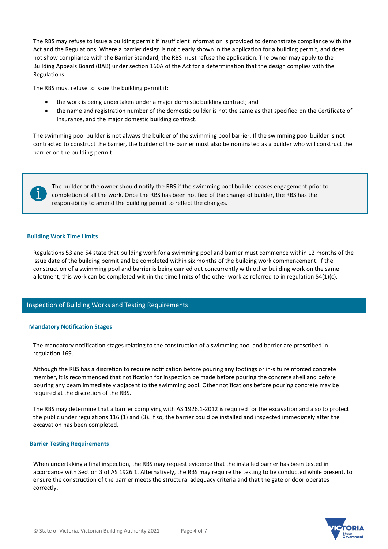The RBS may refuse to issue a building permit if insufficient information is provided to demonstrate compliance with the Act and the Regulations. Where a barrier design is not clearly shown in the application for a building permit, and does not show compliance with the Barrier Standard, the RBS must refuse the application. The owner may apply to the Building Appeals Board (BAB) under section 160A of the Act for a determination that the design complies with the Regulations.

The RBS must refuse to issue the building permit if:

- the work is being undertaken under a major domestic building contract; and
- the name and registration number of the domestic builder is not the same as that specified on the Certificate of Insurance, and the major domestic building contract.

The swimming pool builder is not always the builder of the swimming pool barrier. If the swimming pool builder is not contracted to construct the barrier, the builder of the barrier must also be nominated as a builder who will construct the barrier on the building permit.



The builder or the owner should notify the RBS if the swimming pool builder ceases engagement prior to completion of all the work. Once the RBS has been notified of the change of builder, the RBS has the responsibility to amend the building permit to reflect the changes.

### **Building Work Time Limits**

Regulations 53 and 54 state that building work for a swimming pool and barrier must commence within 12 months of the issue date of the building permit and be completed within six months of the building work commencement. If the construction of a swimming pool and barrier is being carried out concurrently with other building work on the same allotment, this work can be completed within the time limits of the other work as referred to in regulation 54(1)(c).

## Inspection of Building Works and Testing Requirements

#### **Mandatory Notification Stages**

The mandatory notification stages relating to the construction of a swimming pool and barrier are prescribed in regulation 169.

Although the RBS has a discretion to require notification before pouring any footings or in-situ reinforced concrete member, it is recommended that notification for inspection be made before pouring the concrete shell and before pouring any beam immediately adjacent to the swimming pool. Other notifications before pouring concrete may be required at the discretion of the RBS.

The RBS may determine that a barrier complying with AS 1926.1-2012 is required for the excavation and also to protect the public under regulations 116 (1) and (3). If so, the barrier could be installed and inspected immediately after the excavation has been completed.

#### **Barrier Testing Requirements**

When undertaking a final inspection, the RBS may request evidence that the installed barrier has been tested in accordance with Section 3 of AS 1926.1. Alternatively, the RBS may require the testing to be conducted while present, to ensure the construction of the barrier meets the structural adequacy criteria and that the gate or door operates correctly.

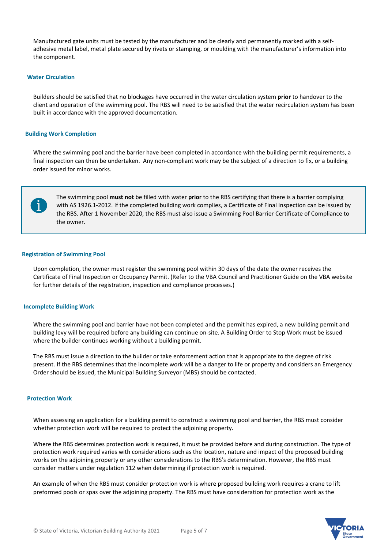Manufactured gate units must be tested by the manufacturer and be clearly and permanently marked with a selfadhesive metal label, metal plate secured by rivets or stamping, or moulding with the manufacturer's information into the component.

### **Water Circulation**

Builders should be satisfied that no blockages have occurred in the water circulation system **prior** to handover to the client and operation of the swimming pool. The RBS will need to be satisfied that the water recirculation system has been built in accordance with the approved documentation.

#### **Building Work Completion**

Where the swimming pool and the barrier have been completed in accordance with the building permit requirements, a final inspection can then be undertaken. Any non-compliant work may be the subject of a direction to fix, or a building order issued for minor works.



The swimming pool **must not** be filled with water **prior** to the RBS certifying that there is a barrier complying with AS 1926.1-2012. If the completed building work complies, a Certificate of Final Inspection can be issued by the RBS. After 1 November 2020, the RBS must also issue a Swimming Pool Barrier Certificate of Compliance to the owner.

#### **Registration of Swimming Pool**

Upon completion, the owner must register the swimming pool within 30 days of the date the owner receives the Certificate of Final Inspection or Occupancy Permit. (Refer to the VBA Council and Practitioner Guide on the VBA website for further details of the registration, inspection and compliance processes.)

#### **Incomplete Building Work**

Where the swimming pool and barrier have not been completed and the permit has expired, a new building permit and building levy will be required before any building can continue on-site. A Building Order to Stop Work must be issued where the builder continues working without a building permit.

The RBS must issue a direction to the builder or take enforcement action that is appropriate to the degree of risk present. If the RBS determines that the incomplete work will be a danger to life or property and considers an Emergency Order should be issued, the Municipal Building Surveyor (MBS) should be contacted.

#### **Protection Work**

When assessing an application for a building permit to construct a swimming pool and barrier, the RBS must consider whether protection work will be required to protect the adjoining property.

Where the RBS determines protection work is required, it must be provided before and during construction. The type of protection work required varies with considerations such as the location, nature and impact of the proposed building works on the adjoining property or any other considerations to the RBS's determination. However, the RBS must consider matters under regulation 112 when determining if protection work is required.

An example of when the RBS must consider protection work is where proposed building work requires a crane to lift preformed pools or spas over the adjoining property. The RBS must have consideration for protection work as the

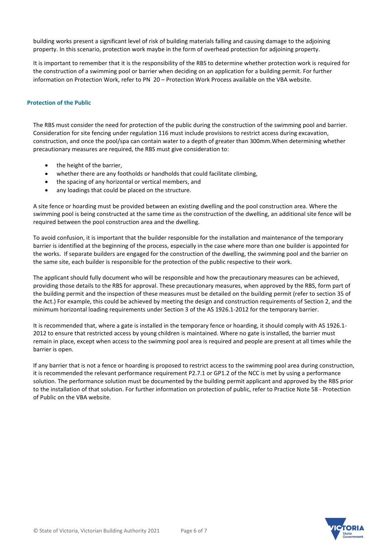building works present a significant level of risk of building materials falling and causing damage to the adjoining property. In this scenario, protection work maybe in the form of overhead protection for adjoining property.

It is important to remember that it is the responsibility of the RBS to determine whether protection work is required for the construction of a swimming pool or barrier when deciding on an application for a building permit. For further information on Protection Work, refer to PN 20 – Protection Work Process available on the VBA website.

## **Protection of the Public**

The RBS must consider the need for protection of the public during the construction of the swimming pool and barrier. Consideration for site fencing under regulation 116 must include provisions to restrict access during excavation, construction, and once the pool/spa can contain water to a depth of greater than 300mm.When determining whether precautionary measures are required, the RBS must give consideration to:

- the height of the barrier,
- whether there are any footholds or handholds that could facilitate climbing,
- the spacing of any horizontal or vertical members, and
- any loadings that could be placed on the structure.

A site fence or hoarding must be provided between an existing dwelling and the pool construction area. Where the swimming pool is being constructed at the same time as the construction of the dwelling, an additional site fence will be required between the pool construction area and the dwelling.

To avoid confusion, it is important that the builder responsible for the installation and maintenance of the temporary barrier is identified at the beginning of the process, especially in the case where more than one builder is appointed for the works. If separate builders are engaged for the construction of the dwelling, the swimming pool and the barrier on the same site, each builder is responsible for the protection of the public respective to their work.

The applicant should fully document who will be responsible and how the precautionary measures can be achieved, providing those details to the RBS for approval. These precautionary measures, when approved by the RBS, form part of the building permit and the inspection of these measures must be detailed on the building permit (refer to section 35 of the Act.) For example, this could be achieved by meeting the design and construction requirements of Section 2, and the minimum horizontal loading requirements under Section 3 of the AS 1926.1-2012 for the temporary barrier.

It is recommended that, where a gate is installed in the temporary fence or hoarding, it should comply with AS 1926.1- 2012 to ensure that restricted access by young children is maintained. Where no gate is installed, the barrier must remain in place, except when access to the swimming pool area is required and people are present at all times while the barrier is open.

If any barrier that is not a fence or hoarding is proposed to restrict access to the swimming pool area during construction, it is recommended the relevant performance requirement P2.7.1 or GP1.2 of the NCC is met by using a performance solution. The performance solution must be documented by the building permit applicant and approved by the RBS prior to the installation of that solution. For further information on protection of public, refer to Practice Note 58 - Protection of Public on the VBA website.